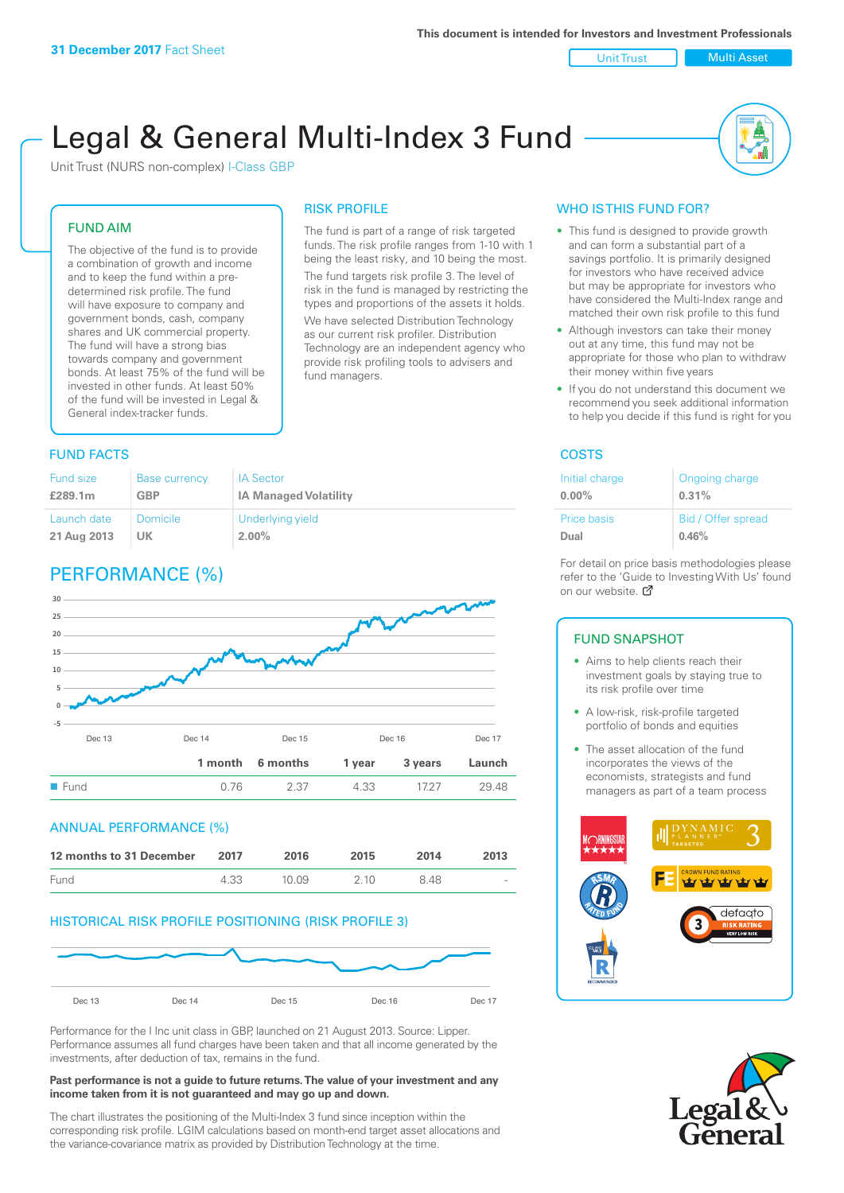Unit Trust Nulti Asset

# Legal & General Multi-Index 3 Fund

RISK PROFILE

fund managers.

The fund is part of a range of risk targeted funds. The risk profile ranges from 1-10 with 1 being the least risky, and 10 being the most. The fund targets risk profile 3. The level of risk in the fund is managed by restricting the types and proportions of the assets it holds. We have selected Distribution Technology as our current risk profiler. Distribution Technology are an independent agency who provide risk profiling tools to advisers and

Unit Trust (NURS non-complex) I-Class GBP

#### FUND AIM

The objective of the fund is to provide a combination of growth and income and to keep the fund within a predetermined risk profile. The fund will have exposure to company and government bonds, cash, company shares and UK commercial property. The fund will have a strong bias towards company and government bonds. At least 75% of the fund will be invested in other funds. At least 50% of the fund will be invested in Legal & General index-tracker funds.

### **FUND FACTS** COSTS

| Fund size   | Base currency | <b>IA Sector</b>             |
|-------------|---------------|------------------------------|
| £289.1m     | GBP           | <b>IA Managed Volatility</b> |
| Launch date | Domicile      | Underlying yield             |
| 21 Aug 2013 | UK.           | $2.00\%$                     |

# PERFORMANCE (%)



#### ANNUAL PERFORMANCE (%)

| 12 months to 31 December | 2017 | 2016   | 2015  | 2014 | 2013                     |
|--------------------------|------|--------|-------|------|--------------------------|
| Fund                     | 4.33 | 10 Q.9 | 2 1 0 | 848  | $\overline{\phantom{a}}$ |

#### HISTORICAL RISK PROFILE POSITIONING (RISK PROFILE 3)



Performance for the I Inc unit class in GBP, launched on 21 August 2013. Source: Lipper. Performance assumes all fund charges have been taken and that all income generated by the investments, after deduction of tax, remains in the fund.

#### **Past performance is not a guide to future returns. The value of your investment and any income taken from it is not guaranteed and may go up and down.**

The chart illustrates the positioning of the Multi-Index 3 fund since inception within the corresponding risk profile. LGIM calculations based on month-end target asset allocations and the variance-covariance matrix as provided by Distribution Technology at the time.

### WHO IS THIS FUND FOR?

- This fund is designed to provide growth and can form a substantial part of a savings portfolio. It is primarily designed for investors who have received advice but may be appropriate for investors who have considered the Multi-Index range and matched their own risk profile to this fund
- Although investors can take their money out at any time, this fund may not be appropriate for those who plan to withdraw their money within five years
- If you do not understand this document we recommend you seek additional information to help you decide if this fund is right for you

| Initial charge     | Ongoing charge     |
|--------------------|--------------------|
| $0.00\%$           | 0.31%              |
| <b>Price basis</b> | Bid / Offer spread |
| Dual               | 0.46%              |

For detail on price basis methodologies please refer to the 'Gu[ide t](http://www.legalandgeneral.com/guide)o Investing With Us' found on our website. *C* 

#### FUND SNAPSHOT

- Aims to help clients reach their investment goals by staying true to its risk profile over time
- A low-risk, risk-profile targeted portfolio of bonds and equities
- The asset allocation of the fund incorporates the views of the economists, strategists and fund managers as part of a team process



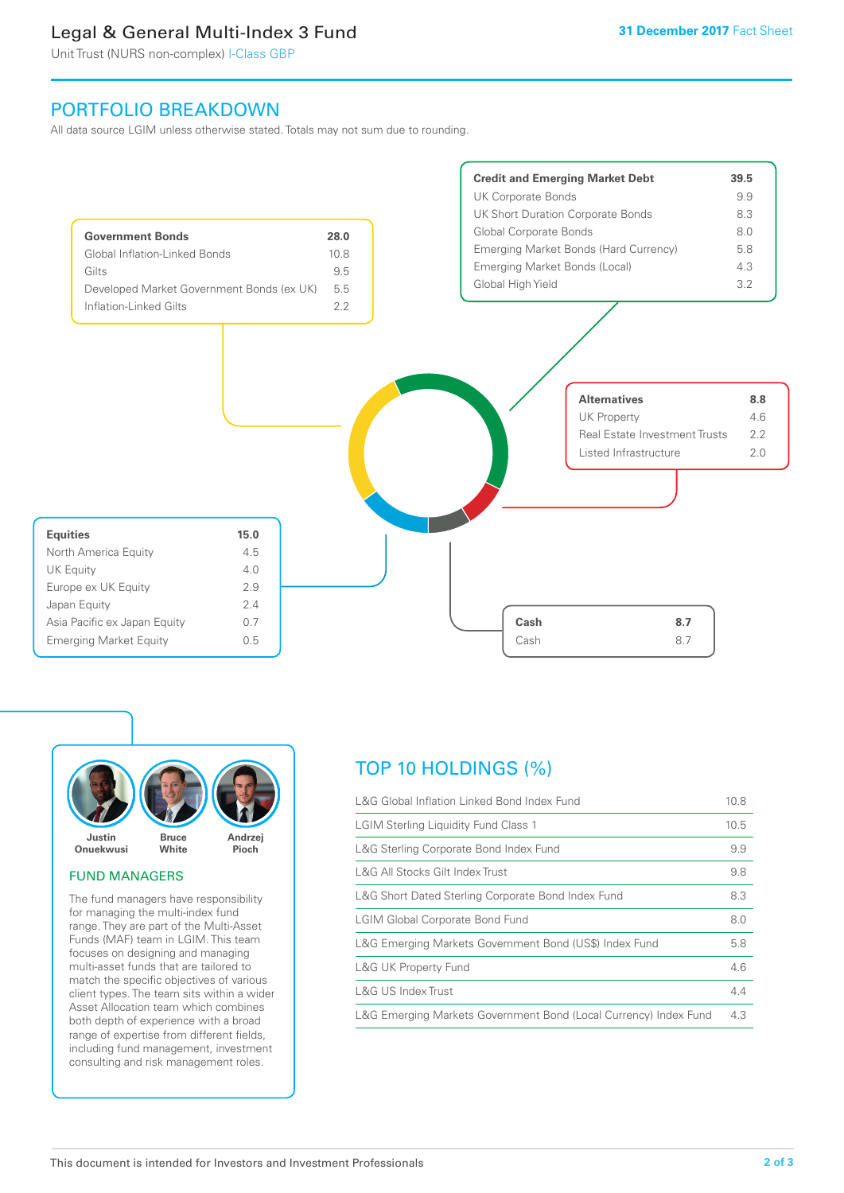# Legal & General Multi-Index 3 Fund

Unit Trust (NURS non-complex) I-Class GBP

## PORTFOLIO BREAKDOWN

All data source LGIM unless otherwise stated. Totals may not sum due to rounding.





#### FUND MANAGERS

The fund managers have responsibility for managing the multi-index fund range. They are part of the Multi-Asset Funds (MAF) team in LGIM. This team focuses on designing and managing multi-asset funds that are tailored to match the specific objectives of various client types. The team sits within a wider Asset Allocation team which combines both depth of experience with a broad range of expertise from different fields, including fund management, investment consulting and risk management roles.

# TOP 10 HOLDINGS (%)

| L&G Global Inflation Linked Bond Index Fund                      | 10.8 |
|------------------------------------------------------------------|------|
| <b>LGIM Sterling Liquidity Fund Class 1</b>                      | 10.5 |
| L&G Sterling Corporate Bond Index Fund                           | 9.9  |
| L&G All Stocks Gilt Index Trust                                  | 9.8  |
| L&G Short Dated Sterling Corporate Bond Index Fund               | 8.3  |
| <b>LGIM Global Corporate Bond Fund</b>                           | 8.0  |
| L&G Emerging Markets Government Bond (US\$) Index Fund           | 5.8  |
| <b>L&amp;G UK Property Fund</b>                                  | 4.6  |
| L&G US Index Trust                                               | 4.4  |
| L&G Emerging Markets Government Bond (Local Currency) Index Fund | 4.3  |